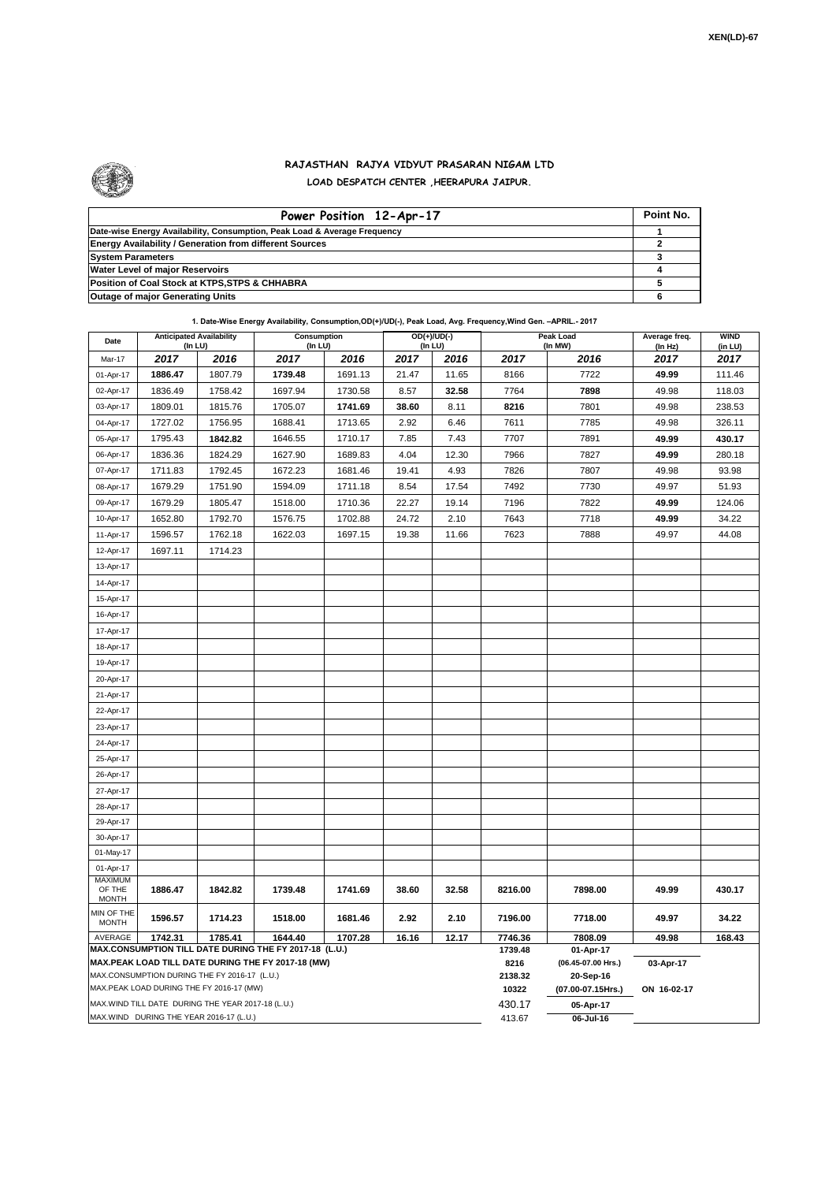

## **RAJASTHAN RAJYA VIDYUT PRASARAN NIGAM LTD LOAD DESPATCH CENTER ,HEERAPURA JAIPUR.**

| Power Position 12-Apr-17                                                  | Point No. |
|---------------------------------------------------------------------------|-----------|
| Date-wise Energy Availability, Consumption, Peak Load & Average Frequency |           |
| <b>Energy Availability / Generation from different Sources</b>            |           |
| <b>System Parameters</b>                                                  |           |
| <b>Water Level of major Reservoirs</b>                                    |           |
| Position of Coal Stock at KTPS, STPS & CHHABRA                            |           |
| <b>Outage of major Generating Units</b>                                   |           |

## **1. Date-Wise Energy Availability, Consumption,OD(+)/UD(-), Peak Load, Avg. Frequency,Wind Gen. –APRIL.- 2017**

| Date                                                                                                                            | <b>Anticipated Availability</b><br>(In LU) | Consumption<br>(In LU) |         |         | $OD(+)/UD(-)$<br>(In LU) |         |                 | Peak Load<br>(In MW)            | Average freq.<br>(In Hz) | <b>WIND</b><br>(in LU) |  |
|---------------------------------------------------------------------------------------------------------------------------------|--------------------------------------------|------------------------|---------|---------|--------------------------|---------|-----------------|---------------------------------|--------------------------|------------------------|--|
| Mar-17                                                                                                                          | 2017                                       | 2016                   | 2017    | 2016    | 2017                     | 2016    | 2017            | 2016                            | 2017                     | 2017                   |  |
| 01-Apr-17                                                                                                                       | 1886.47                                    | 1807.79                | 1739.48 | 1691.13 | 21.47                    | 11.65   | 8166            | 7722                            | 49.99                    | 111.46                 |  |
| 02-Apr-17                                                                                                                       | 1836.49                                    | 1758.42                | 1697.94 | 1730.58 | 8.57                     | 32.58   | 7764            | 7898                            | 49.98                    | 118.03                 |  |
| 03-Apr-17                                                                                                                       | 1809.01                                    | 1815.76                | 1705.07 | 1741.69 | 38.60                    | 8.11    | 8216            | 7801                            | 49.98                    | 238.53                 |  |
| 04-Apr-17                                                                                                                       | 1727.02                                    | 1756.95                | 1688.41 | 1713.65 | 2.92                     | 6.46    | 7611            | 7785                            | 49.98                    | 326.11                 |  |
| 05-Apr-17                                                                                                                       | 1795.43                                    | 1842.82                | 1646.55 | 1710.17 | 7.85                     | 7.43    | 7707            | 7891                            | 49.99                    | 430.17                 |  |
| 06-Apr-17                                                                                                                       | 1836.36                                    | 1824.29                | 1627.90 | 1689.83 | 4.04                     | 12.30   | 7966            | 7827                            | 49.99                    | 280.18                 |  |
| 07-Apr-17                                                                                                                       | 1711.83                                    | 1792.45                | 1672.23 | 1681.46 | 19.41                    | 4.93    | 7826            | 7807                            | 49.98                    | 93.98                  |  |
| 08-Apr-17                                                                                                                       | 1679.29                                    | 1751.90                | 1594.09 | 1711.18 | 8.54                     | 17.54   | 7492            | 7730                            | 49.97                    | 51.93                  |  |
| 09-Apr-17                                                                                                                       | 1679.29                                    | 1805.47                | 1518.00 | 1710.36 | 22.27                    | 19.14   | 7196            | 7822                            | 49.99                    | 124.06                 |  |
| 10-Apr-17                                                                                                                       | 1652.80                                    | 1792.70                | 1576.75 | 1702.88 | 24.72                    | 2.10    | 7643            | 7718                            | 49.99                    | 34.22                  |  |
| 11-Apr-17                                                                                                                       | 1596.57                                    | 1762.18                | 1622.03 | 1697.15 | 19.38                    | 11.66   | 7623            | 7888                            | 49.97                    | 44.08                  |  |
| 12-Apr-17                                                                                                                       | 1697.11                                    | 1714.23                |         |         |                          |         |                 |                                 |                          |                        |  |
| 13-Apr-17                                                                                                                       |                                            |                        |         |         |                          |         |                 |                                 |                          |                        |  |
| 14-Apr-17                                                                                                                       |                                            |                        |         |         |                          |         |                 |                                 |                          |                        |  |
| 15-Apr-17                                                                                                                       |                                            |                        |         |         |                          |         |                 |                                 |                          |                        |  |
| 16-Apr-17                                                                                                                       |                                            |                        |         |         |                          |         |                 |                                 |                          |                        |  |
| 17-Apr-17                                                                                                                       |                                            |                        |         |         |                          |         |                 |                                 |                          |                        |  |
| 18-Apr-17                                                                                                                       |                                            |                        |         |         |                          |         |                 |                                 |                          |                        |  |
| 19-Apr-17                                                                                                                       |                                            |                        |         |         |                          |         |                 |                                 |                          |                        |  |
| 20-Apr-17                                                                                                                       |                                            |                        |         |         |                          |         |                 |                                 |                          |                        |  |
| 21-Apr-17                                                                                                                       |                                            |                        |         |         |                          |         |                 |                                 |                          |                        |  |
| 22-Apr-17                                                                                                                       |                                            |                        |         |         |                          |         |                 |                                 |                          |                        |  |
| 23-Apr-17                                                                                                                       |                                            |                        |         |         |                          |         |                 |                                 |                          |                        |  |
| 24-Apr-17                                                                                                                       |                                            |                        |         |         |                          |         |                 |                                 |                          |                        |  |
| 25-Apr-17                                                                                                                       |                                            |                        |         |         |                          |         |                 |                                 |                          |                        |  |
| 26-Apr-17                                                                                                                       |                                            |                        |         |         |                          |         |                 |                                 |                          |                        |  |
| 27-Apr-17                                                                                                                       |                                            |                        |         |         |                          |         |                 |                                 |                          |                        |  |
| 28-Apr-17                                                                                                                       |                                            |                        |         |         |                          |         |                 |                                 |                          |                        |  |
| 29-Apr-17                                                                                                                       |                                            |                        |         |         |                          |         |                 |                                 |                          |                        |  |
| 30-Apr-17                                                                                                                       |                                            |                        |         |         |                          |         |                 |                                 |                          |                        |  |
| 01-May-17                                                                                                                       |                                            |                        |         |         |                          |         |                 |                                 |                          |                        |  |
| 01-Apr-17                                                                                                                       |                                            |                        |         |         |                          |         |                 |                                 |                          |                        |  |
| <b>MAXIMUM</b><br>OF THE<br><b>MONTH</b>                                                                                        | 1886.47                                    | 1842.82                | 1739.48 | 1741.69 | 38.60                    | 32.58   | 8216.00         | 7898.00                         | 49.99                    | 430.17                 |  |
| MIN OF THE<br><b>MONTH</b>                                                                                                      | 1596.57                                    | 1714.23                | 1518.00 | 1681.46 | 2.92                     | 2.10    | 7196.00         | 7718.00                         | 49.97                    | 34.22                  |  |
| 1742.31<br>1785.41<br>1644.40<br>AVERAGE<br>1707.28<br>16.16<br>12.17<br>MAX.CONSUMPTION TILL DATE DURING THE FY 2017-18 (L.U.) |                                            |                        |         |         |                          | 7746.36 | 7808.09         | 49.98                           | 168.43                   |                        |  |
| MAX.PEAK LOAD TILL DATE DURING THE FY 2017-18 (MW)                                                                              |                                            |                        |         |         |                          |         | 1739.48<br>8216 | 01-Apr-17<br>(06.45-07.00 Hrs.) | 03-Apr-17                |                        |  |
| MAX.CONSUMPTION DURING THE FY 2016-17 (L.U.)                                                                                    |                                            |                        |         |         |                          |         | 2138.32         | 20-Sep-16                       |                          |                        |  |
| MAX.PEAK LOAD DURING THE FY 2016-17 (MW)                                                                                        |                                            |                        |         |         |                          |         | 10322           | (07.00-07.15Hrs.)               | ON 16-02-17              |                        |  |
| MAX.WIND TILL DATE DURING THE YEAR 2017-18 (L.U.)                                                                               |                                            |                        |         |         |                          | 430.17  | 05-Apr-17       |                                 |                          |                        |  |
| MAX.WIND DURING THE YEAR 2016-17 (L.U.)                                                                                         |                                            |                        |         |         |                          |         | 413.67          | 06-Jul-16                       |                          |                        |  |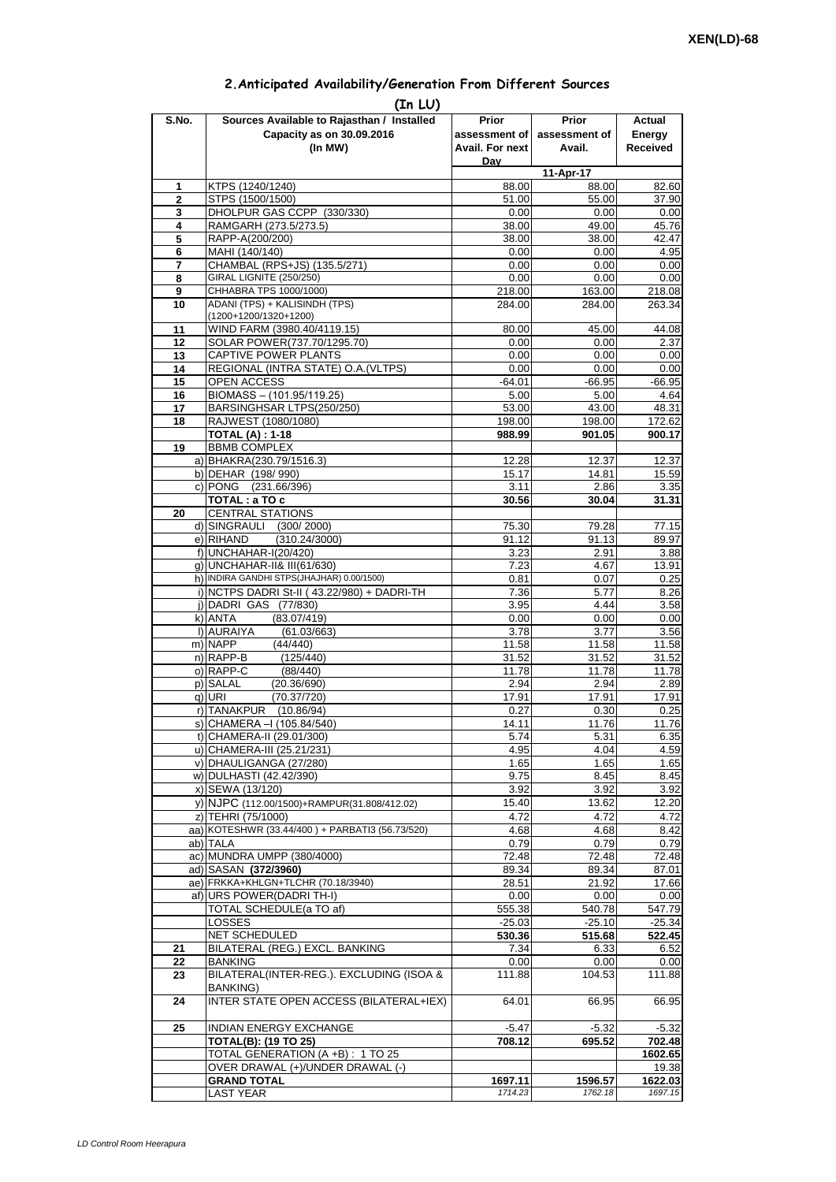| 2. Anticipated Availability/Generation From Different Sources |  |  |  |
|---------------------------------------------------------------|--|--|--|
|                                                               |  |  |  |

| S.No.          | (In LU)<br>Sources Available to Rajasthan / Installed  | Prior                  | <b>Prior</b>       | Actual             |  |
|----------------|--------------------------------------------------------|------------------------|--------------------|--------------------|--|
|                | Capacity as on 30.09.2016                              | assessment of          | assessment of      | Energy             |  |
|                | (In MW)                                                | <b>Avail. For next</b> | Avail.             | <b>Received</b>    |  |
|                |                                                        | Dav                    |                    |                    |  |
|                |                                                        |                        | 11-Apr-17          |                    |  |
| 1              | KTPS (1240/1240)                                       | 88.00                  | 88.00              | 82.60              |  |
| $\overline{2}$ | STPS (1500/1500)                                       | 51.00                  | 55.00              | 37.90              |  |
| 3<br>4         | DHOLPUR GAS CCPP (330/330)<br>RAMGARH (273.5/273.5)    | 0.00<br>38.00          | 0.00<br>49.00      | 0.00<br>45.76      |  |
| 5              | RAPP-A(200/200)                                        | 38.00                  | 38.00              | 42.47              |  |
| 6              | MAHI (140/140)                                         | 0.00                   | 0.00               | 4.95               |  |
| 7              | CHAMBAL (RPS+JS) (135.5/271)                           | 0.00                   | 0.00               | 0.00               |  |
| 8              | GIRAL LIGNITE (250/250)                                | 0.00                   | 0.00               | 0.00               |  |
| 9              | CHHABRA TPS 1000/1000)                                 | 218.00                 | 163.00             | 218.08             |  |
| 10             | ADANI (TPS) + KALISINDH (TPS)<br>(1200+1200/1320+1200) | 284.00                 | 284.00             | 263.34             |  |
| 11             | WIND FARM (3980.40/4119.15)                            | 80.00                  | 45.00              | 44.08              |  |
| 12             | SOLAR POWER(737.70/1295.70)                            | 0.00                   | 0.00               | 2.37               |  |
| 13             | CAPTIVE POWER PLANTS                                   | 0.00                   | 0.00               | 0.00               |  |
| 14             | REGIONAL (INTRA STATE) O.A. (VLTPS)                    | 0.00                   | 0.00               | 0.00               |  |
| 15             | OPEN ACCESS                                            | $-64.01$               | $-66.95$           | $-66.95$           |  |
| 16             | BIOMASS - (101.95/119.25)                              | 5.00                   | 5.00               | 4.64               |  |
| 17             | BARSINGHSAR LTPS(250/250)                              | 53.00                  | 43.00              | 48.31              |  |
| 18             | RAJWEST (1080/1080)<br><b>TOTAL (A): 1-18</b>          | 198.00<br>988.99       | 198.00<br>901.05   | 172.62<br>900.17   |  |
| 19             | <b>BBMB COMPLEX</b>                                    |                        |                    |                    |  |
|                | a) BHAKRA(230.79/1516.3)                               | 12.28                  | 12.37              | 12.37              |  |
|                | b) DEHAR (198/990)                                     | 15.17                  | 14.81              | 15.59              |  |
|                | c) PONG (231.66/396)                                   | 3.11                   | 2.86               | 3.35               |  |
|                | TOTAL : a TO c                                         | 30.56                  | 30.04              | 31.31              |  |
| 20             | <b>CENTRAL STATIONS</b>                                |                        |                    |                    |  |
|                | d) SINGRAULI<br>(300/2000)                             | 75.30                  | 79.28              | 77.15              |  |
|                | e) RIHAND<br>(310.24/3000)<br>f) UNCHAHAR-I(20/420)    | 91.12<br>3.23          | 91.13<br>2.91      | 89.97<br>3.88      |  |
|                | q) UNCHAHAR-II& III(61/630)                            | 7.23                   | 4.67               | 13.91              |  |
|                | h) INDIRA GANDHI STPS(JHAJHAR) 0.00/1500)              | 0.81                   | 0.07               | 0.25               |  |
|                | i) NCTPS DADRI St-II (43.22/980) + DADRI-TH            | 7.36                   | 5.77               | 8.26               |  |
|                | j) DADRI GAS (77/830)                                  | 3.95                   | 4.44               | 3.58               |  |
|                | k) ANTA<br>(83.07/419)                                 | 0.00                   | 0.00               | 0.00               |  |
|                | I) AURAIYA<br>(61.03/663)                              | 3.78                   | 3.77               | 3.56               |  |
|                | m) NAPP<br>(44/440)                                    | 11.58                  | 11.58              | 11.58              |  |
|                | n) RAPP-B<br>(125/440)<br>o) RAPP-C<br>(88/440)        | 31.52<br>11.78         | 31.52<br>11.78     | 31.52<br>11.78     |  |
|                | p) SALAL<br>(20.36/690)                                | 2.94                   | 2.94               | 2.89               |  |
|                | (70.37/720)<br>q) URI                                  | 17.91                  | 17.91              | 17.91              |  |
|                | r) TANAKPUR<br>(10.86/94)                              | 0.27                   | 0.30               | 0.25               |  |
|                | S) CHAMERA –I (105.84/540)                             | 14.11                  | 11.76              | 11.76              |  |
|                | t) CHAMERA-II (29.01/300)                              | 5.74                   | 5.31               | 6.35               |  |
|                | u) CHAMERA-III (25.21/231)                             | 4.95                   | 4.04               | 4.59               |  |
|                | v) DHAULIGANGA (27/280)                                | 1.65                   | 1.65               | 1.65               |  |
|                | w) DULHASTI (42.42/390)<br>x) SEWA (13/120)            | 9.75<br>3.92           | 8.45<br>3.92       | 8.45<br>3.92       |  |
|                | y) NJPC (112.00/1500)+RAMPUR(31.808/412.02)            | 15.40                  | 13.62              | 12.20              |  |
|                | z) TEHRI (75/1000)                                     | 4.72                   | 4.72               | 4.72               |  |
|                | aa) KOTESHWR (33.44/400) + PARBATI3 (56.73/520)        | 4.68                   | 4.68               | 8.42               |  |
|                | ab) TALA                                               | 0.79                   | 0.79               | 0.79               |  |
|                | ac) MUNDRA UMPP (380/4000)                             | 72.48                  | 72.48              | 72.48              |  |
|                | ad) SASAN (372/3960)                                   | 89.34                  | 89.34              | 87.01              |  |
|                | ae) FRKKA+KHLGN+TLCHR (70.18/3940)                     | 28.51                  | 21.92              | 17.66              |  |
|                | af) URS POWER(DADRI TH-I)                              | 0.00                   | 0.00               | 0.00               |  |
|                | TOTAL SCHEDULE(a TO af)<br><b>LOSSES</b>               | 555.38<br>$-25.03$     | 540.78<br>$-25.10$ | 547.79<br>$-25.34$ |  |
|                | NET SCHEDULED                                          | 530.36                 | 515.68             | 522.45             |  |
| 21             | BILATERAL (REG.) EXCL. BANKING                         | 7.34                   | 6.33               | 6.52               |  |
| 22             | <b>BANKING</b>                                         | 0.00                   | 0.00               | 0.00               |  |
| 23             | BILATERAL(INTER-REG.). EXCLUDING (ISOA &               | 111.88                 | 104.53             | 111.88             |  |
|                | <b>BANKING)</b>                                        |                        |                    |                    |  |
| 24             | INTER STATE OPEN ACCESS (BILATERAL+IEX)                | 64.01                  | 66.95              | 66.95              |  |
| 25             | INDIAN ENERGY EXCHANGE                                 | $-5.47$                | $-5.32$            | $-5.32$            |  |
|                | <b>TOTAL(B): (19 TO 25)</b>                            | 708.12                 | 695.52             | 702.48             |  |
|                | TOTAL GENERATION (A +B) : 1 TO 25                      |                        |                    | 1602.65            |  |
|                | OVER DRAWAL (+)/UNDER DRAWAL (-)                       |                        |                    | 19.38              |  |
|                | <b>GRAND TOTAL</b>                                     | 1697.11                | 1596.57            | 1622.03            |  |
|                | <b>LAST YEAR</b>                                       | 1714.23                | 1762.18            | 1697.15            |  |